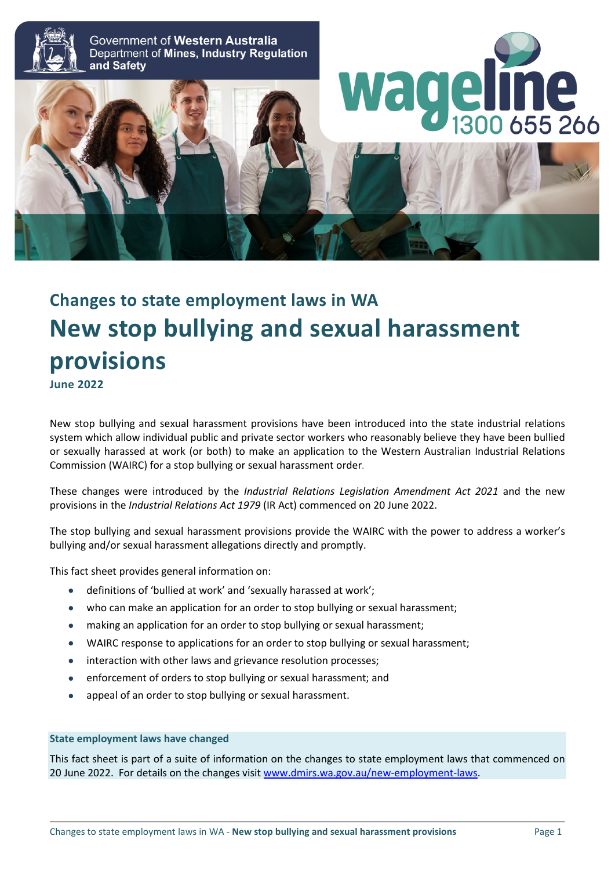

# **Changes to state employment laws in WA New stop bullying and sexual harassment provisions**

**June 2022**

New stop bullying and sexual harassment provisions have been introduced into the state industrial relations system which allow individual public and private sector workers who reasonably believe they have been bullied or sexually harassed at work (or both) to make an application to the Western Australian Industrial Relations Commission (WAIRC) for a stop bullying or sexual harassment order.

These changes were introduced by the *Industrial Relations Legislation Amendment Act 2021* and the new provisions in the *Industrial Relations Act 1979* (IR Act) commenced on 20 June 2022.

The stop bullying and sexual harassment provisions provide the WAIRC with the power to address a worker's bullying and/or sexual harassment allegations directly and promptly.

This fact sheet provides general information on:

- definitions of 'bullied at work' and 'sexually harassed at work';
- who can make an application for an order to stop bullying or sexual harassment;
- making an application for an order to stop bullying or sexual harassment;
- WAIRC response to applications for an order to stop bullying or sexual harassment;
- interaction with other laws and grievance resolution processes;
- enforcement of orders to stop bullying or sexual harassment; and
- appeal of an order to stop bullying or sexual harassment.

#### **State employment laws have changed**

This fact sheet is part of a suite of information on the changes to state employment laws that commenced on 20 June 2022. For details on the changes visit [www.dmirs.wa.gov.au/new-employment-laws.](http://www.dmirs.wa.gov.au/new-employment-laws)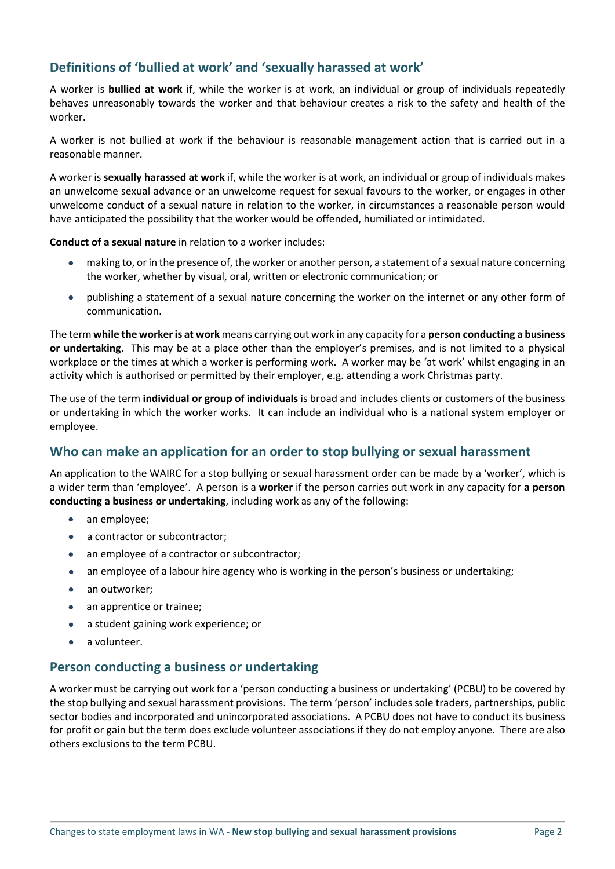# **Definitions of 'bullied at work' and 'sexually harassed at work'**

A worker is **bullied at work** if, while the worker is at work, an individual or group of individuals repeatedly behaves unreasonably towards the worker and that behaviour creates a risk to the safety and health of the worker.

A worker is not bullied at work if the behaviour is reasonable management action that is carried out in a reasonable manner.

A worker is **sexually harassed at work** if, while the worker is at work, an individual or group of individuals makes an unwelcome sexual advance or an unwelcome request for sexual favours to the worker, or engages in other unwelcome conduct of a sexual nature in relation to the worker, in circumstances a reasonable person would have anticipated the possibility that the worker would be offended, humiliated or intimidated.

**Conduct of a sexual nature** in relation to a worker includes:

- making to, or in the presence of, the worker or another person, a statement of a sexual nature concerning the worker, whether by visual, oral, written or electronic communication; or
- publishing a statement of a sexual nature concerning the worker on the internet or any other form of communication.

The term **while the worker is at work** means carrying out work in any capacity for a **person conducting a business or undertaking**. This may be at a place other than the employer's premises, and is not limited to a physical workplace or the times at which a worker is performing work. A worker may be 'at work' whilst engaging in an activity which is authorised or permitted by their employer, e.g. attending a work Christmas party.

The use of the term **individual or group of individuals** is broad and includes clients or customers of the business or undertaking in which the worker works. It can include an individual who is a national system employer or employee.

## **Who can make an application for an order to stop bullying or sexual harassment**

An application to the WAIRC for a stop bullying or sexual harassment order can be made by a 'worker', which is a wider term than 'employee'. A person is a **worker** if the person carries out work in any capacity for **a person conducting a business or undertaking**, including work as any of the following:

- an employee;
- a contractor or subcontractor;
- an employee of a contractor or subcontractor;
- an employee of a labour hire agency who is working in the person's business or undertaking;
- an outworker;
- an apprentice or trainee;
- a student gaining work experience; or
- a volunteer.

## **Person conducting a business or undertaking**

A worker must be carrying out work for a 'person conducting a business or undertaking' (PCBU) to be covered by the stop bullying and sexual harassment provisions. The term 'person' includessole traders, partnerships, public sector bodies and incorporated and unincorporated associations. A PCBU does not have to conduct its business for profit or gain but the term does exclude volunteer associations if they do not employ anyone. There are also others exclusions to the term PCBU.